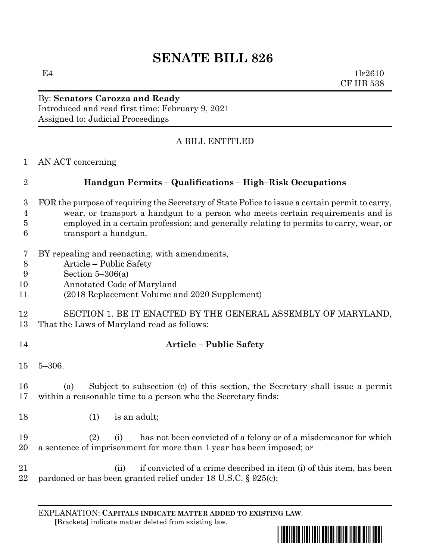# **SENATE BILL 826**

 $E4$  1lr2610 CF HB 538

### By: **Senators Carozza and Ready** Introduced and read first time: February 9, 2021 Assigned to: Judicial Proceedings

# A BILL ENTITLED

AN ACT concerning

# **Handgun Permits – Qualifications – High–Risk Occupations**

- FOR the purpose of requiring the Secretary of State Police to issue a certain permit to carry, wear, or transport a handgun to a person who meets certain requirements and is employed in a certain profession; and generally relating to permits to carry, wear, or transport a handgun.
- BY repealing and reenacting, with amendments,
- Article Public Safety
- Section 5–306(a)
- Annotated Code of Maryland
- (2018 Replacement Volume and 2020 Supplement)

## SECTION 1. BE IT ENACTED BY THE GENERAL ASSEMBLY OF MARYLAND, That the Laws of Maryland read as follows:

- 
- **Article – Public Safety**
- 5–306.

 (a) Subject to subsection (c) of this section, the Secretary shall issue a permit within a reasonable time to a person who the Secretary finds:

18 (1) is an adult;

 (2) (i) has not been convicted of a felony or of a misdemeanor for which a sentence of imprisonment for more than 1 year has been imposed; or

 (ii) if convicted of a crime described in item (i) of this item, has been pardoned or has been granted relief under 18 U.S.C. § 925(c);

EXPLANATION: **CAPITALS INDICATE MATTER ADDED TO EXISTING LAW**.  **[**Brackets**]** indicate matter deleted from existing law.

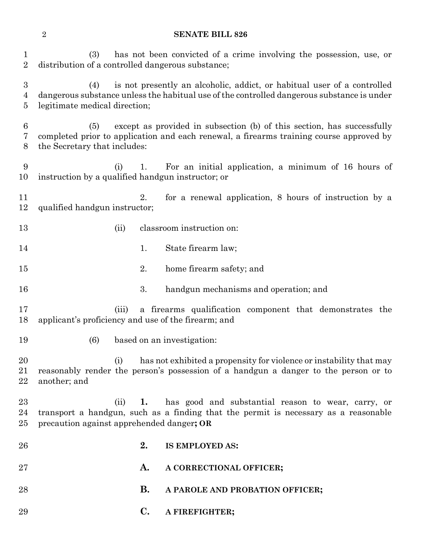#### **SENATE BILL 826**

 (3) has not been convicted of a crime involving the possession, use, or distribution of a controlled dangerous substance;

 (4) is not presently an alcoholic, addict, or habitual user of a controlled dangerous substance unless the habitual use of the controlled dangerous substance is under legitimate medical direction;

 (5) except as provided in subsection (b) of this section, has successfully completed prior to application and each renewal, a firearms training course approved by the Secretary that includes:

 (i) 1. For an initial application, a minimum of 16 hours of instruction by a qualified handgun instructor; or

 2. for a renewal application, 8 hours of instruction by a qualified handgun instructor;

- (ii) classroom instruction on:
- 14 1. State firearm law;
- 2. home firearm safety; and
- 3. handgun mechanisms and operation; and
- (iii) a firearms qualification component that demonstrates the applicant's proficiency and use of the firearm; and
- (6) based on an investigation:

20 (i) has not exhibited a propensity for violence or instability that may reasonably render the person's possession of a handgun a danger to the person or to another; and

 (ii) **1.** has good and substantial reason to wear, carry, or transport a handgun, such as a finding that the permit is necessary as a reasonable precaution against apprehended danger**; OR**

 **2. IS EMPLOYED AS: A. A CORRECTIONAL OFFICER; B. A PAROLE AND PROBATION OFFICER; C. A FIREFIGHTER;**